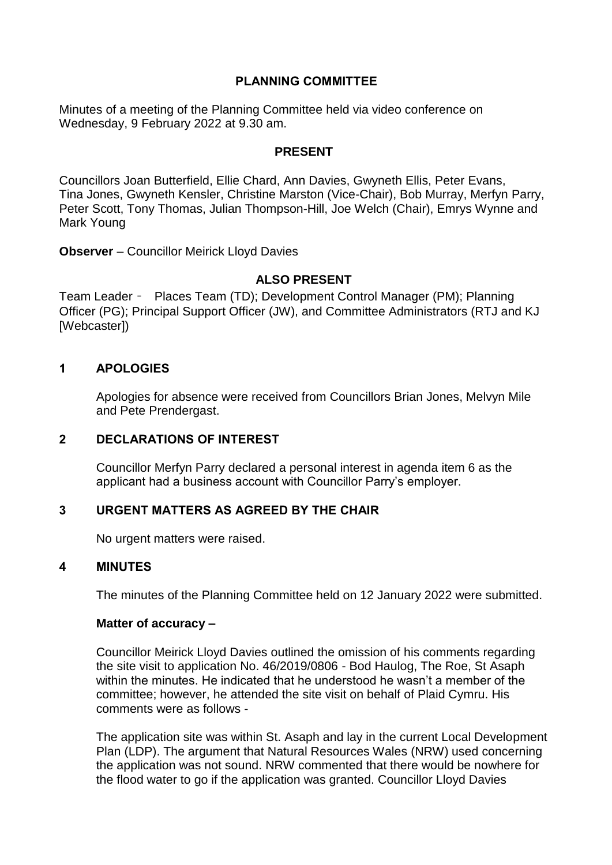## **PLANNING COMMITTEE**

Minutes of a meeting of the Planning Committee held via video conference on Wednesday, 9 February 2022 at 9.30 am.

### **PRESENT**

Councillors Joan Butterfield, Ellie Chard, Ann Davies, Gwyneth Ellis, Peter Evans, Tina Jones, Gwyneth Kensler, Christine Marston (Vice-Chair), Bob Murray, Merfyn Parry, Peter Scott, Tony Thomas, Julian Thompson-Hill, Joe Welch (Chair), Emrys Wynne and Mark Young

**Observer** – Councillor Meirick Lloyd Davies

### **ALSO PRESENT**

Team Leader – Places Team (TD); Development Control Manager (PM); Planning Officer (PG); Principal Support Officer (JW), and Committee Administrators (RTJ and KJ [Webcaster])

### **1 APOLOGIES**

Apologies for absence were received from Councillors Brian Jones, Melvyn Mile and Pete Prendergast.

#### **2 DECLARATIONS OF INTEREST**

Councillor Merfyn Parry declared a personal interest in agenda item 6 as the applicant had a business account with Councillor Parry's employer.

### **3 URGENT MATTERS AS AGREED BY THE CHAIR**

No urgent matters were raised.

### **4 MINUTES**

The minutes of the Planning Committee held on 12 January 2022 were submitted.

#### **Matter of accuracy –**

Councillor Meirick Lloyd Davies outlined the omission of his comments regarding the site visit to application No. 46/2019/0806 - Bod Haulog, The Roe, St Asaph within the minutes. He indicated that he understood he wasn't a member of the committee; however, he attended the site visit on behalf of Plaid Cymru. His comments were as follows -

The application site was within St. Asaph and lay in the current Local Development Plan (LDP). The argument that Natural Resources Wales (NRW) used concerning the application was not sound. NRW commented that there would be nowhere for the flood water to go if the application was granted. Councillor Lloyd Davies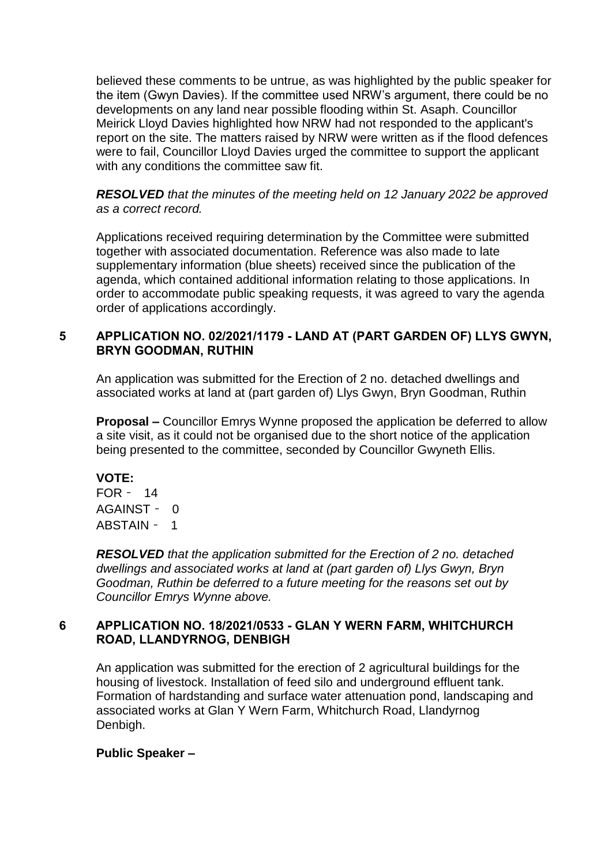believed these comments to be untrue, as was highlighted by the public speaker for the item (Gwyn Davies). If the committee used NRW's argument, there could be no developments on any land near possible flooding within St. Asaph. Councillor Meirick Lloyd Davies highlighted how NRW had not responded to the applicant's report on the site. The matters raised by NRW were written as if the flood defences were to fail, Councillor Lloyd Davies urged the committee to support the applicant with any conditions the committee saw fit.

*RESOLVED that the minutes of the meeting held on 12 January 2022 be approved as a correct record.*

Applications received requiring determination by the Committee were submitted together with associated documentation. Reference was also made to late supplementary information (blue sheets) received since the publication of the agenda, which contained additional information relating to those applications. In order to accommodate public speaking requests, it was agreed to vary the agenda order of applications accordingly.

# **5 APPLICATION NO. 02/2021/1179 - LAND AT (PART GARDEN OF) LLYS GWYN, BRYN GOODMAN, RUTHIN**

An application was submitted for the Erection of 2 no. detached dwellings and associated works at land at (part garden of) Llys Gwyn, Bryn Goodman, Ruthin

**Proposal –** Councillor Emrys Wynne proposed the application be deferred to allow a site visit, as it could not be organised due to the short notice of the application being presented to the committee, seconded by Councillor Gwyneth Ellis.

### **VOTE:**

FOR – 14 AGAINST – 0 ABSTAIN – 1

*RESOLVED that the application submitted for the Erection of 2 no. detached dwellings and associated works at land at (part garden of) Llys Gwyn, Bryn Goodman, Ruthin be deferred to a future meeting for the reasons set out by Councillor Emrys Wynne above.*

## **6 APPLICATION NO. 18/2021/0533 - GLAN Y WERN FARM, WHITCHURCH ROAD, LLANDYRNOG, DENBIGH**

An application was submitted for the erection of 2 agricultural buildings for the housing of livestock. Installation of feed silo and underground effluent tank. Formation of hardstanding and surface water attenuation pond, landscaping and associated works at Glan Y Wern Farm, Whitchurch Road, Llandyrnog Denbigh.

### **Public Speaker –**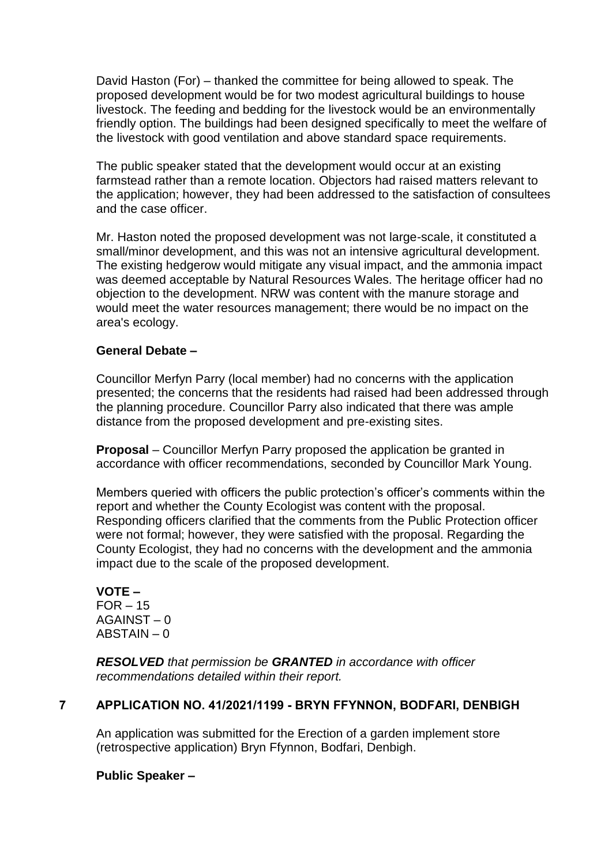David Haston (For) – thanked the committee for being allowed to speak. The proposed development would be for two modest agricultural buildings to house livestock. The feeding and bedding for the livestock would be an environmentally friendly option. The buildings had been designed specifically to meet the welfare of the livestock with good ventilation and above standard space requirements.

The public speaker stated that the development would occur at an existing farmstead rather than a remote location. Objectors had raised matters relevant to the application; however, they had been addressed to the satisfaction of consultees and the case officer.

Mr. Haston noted the proposed development was not large-scale, it constituted a small/minor development, and this was not an intensive agricultural development. The existing hedgerow would mitigate any visual impact, and the ammonia impact was deemed acceptable by Natural Resources Wales. The heritage officer had no objection to the development. NRW was content with the manure storage and would meet the water resources management; there would be no impact on the area's ecology.

## **General Debate –**

Councillor Merfyn Parry (local member) had no concerns with the application presented; the concerns that the residents had raised had been addressed through the planning procedure. Councillor Parry also indicated that there was ample distance from the proposed development and pre-existing sites.

**Proposal** – Councillor Merfyn Parry proposed the application be granted in accordance with officer recommendations, seconded by Councillor Mark Young.

Members queried with officers the public protection's officer's comments within the report and whether the County Ecologist was content with the proposal. Responding officers clarified that the comments from the Public Protection officer were not formal; however, they were satisfied with the proposal. Regarding the County Ecologist, they had no concerns with the development and the ammonia impact due to the scale of the proposed development.

#### **VOTE –**  $FOR - 15$ AGAINST – 0 ABSTAIN – 0

*RESOLVED that permission be GRANTED in accordance with officer recommendations detailed within their report.*

## **7 APPLICATION NO. 41/2021/1199 - BRYN FFYNNON, BODFARI, DENBIGH**

An application was submitted for the Erection of a garden implement store (retrospective application) Bryn Ffynnon, Bodfari, Denbigh.

### **Public Speaker –**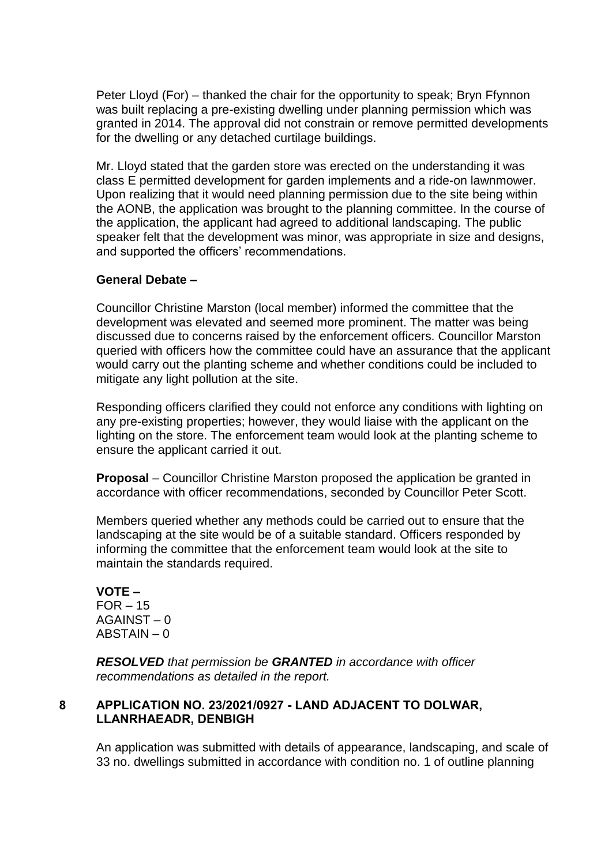Peter Lloyd (For) – thanked the chair for the opportunity to speak; Bryn Ffynnon was built replacing a pre-existing dwelling under planning permission which was granted in 2014. The approval did not constrain or remove permitted developments for the dwelling or any detached curtilage buildings.

Mr. Lloyd stated that the garden store was erected on the understanding it was class E permitted development for garden implements and a ride-on lawnmower. Upon realizing that it would need planning permission due to the site being within the AONB, the application was brought to the planning committee. In the course of the application, the applicant had agreed to additional landscaping. The public speaker felt that the development was minor, was appropriate in size and designs, and supported the officers' recommendations.

## **General Debate –**

Councillor Christine Marston (local member) informed the committee that the development was elevated and seemed more prominent. The matter was being discussed due to concerns raised by the enforcement officers. Councillor Marston queried with officers how the committee could have an assurance that the applicant would carry out the planting scheme and whether conditions could be included to mitigate any light pollution at the site.

Responding officers clarified they could not enforce any conditions with lighting on any pre-existing properties; however, they would liaise with the applicant on the lighting on the store. The enforcement team would look at the planting scheme to ensure the applicant carried it out.

**Proposal** – Councillor Christine Marston proposed the application be granted in accordance with officer recommendations, seconded by Councillor Peter Scott.

Members queried whether any methods could be carried out to ensure that the landscaping at the site would be of a suitable standard. Officers responded by informing the committee that the enforcement team would look at the site to maintain the standards required.

**VOTE –**  $FOR - 15$ AGAINST – 0 ABSTAIN – 0

*RESOLVED that permission be GRANTED in accordance with officer recommendations as detailed in the report.*

### **8 APPLICATION NO. 23/2021/0927 - LAND ADJACENT TO DOLWAR, LLANRHAEADR, DENBIGH**

An application was submitted with details of appearance, landscaping, and scale of 33 no. dwellings submitted in accordance with condition no. 1 of outline planning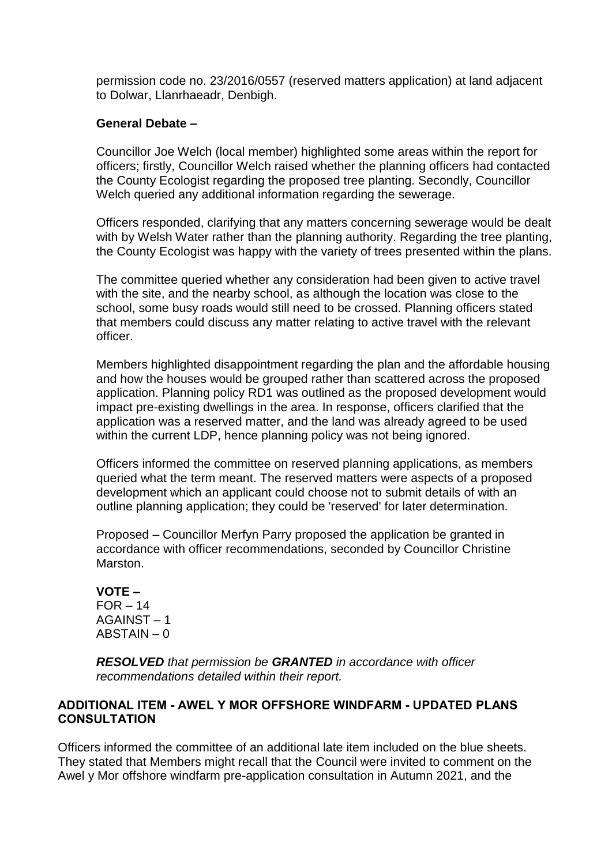permission code no. 23/2016/0557 (reserved matters application) at land adjacent to Dolwar, Llanrhaeadr, Denbigh.

### **General Debate –**

Councillor Joe Welch (local member) highlighted some areas within the report for officers; firstly, Councillor Welch raised whether the planning officers had contacted the County Ecologist regarding the proposed tree planting. Secondly, Councillor Welch queried any additional information regarding the sewerage.

Officers responded, clarifying that any matters concerning sewerage would be dealt with by Welsh Water rather than the planning authority. Regarding the tree planting, the County Ecologist was happy with the variety of trees presented within the plans.

The committee queried whether any consideration had been given to active travel with the site, and the nearby school, as although the location was close to the school, some busy roads would still need to be crossed. Planning officers stated that members could discuss any matter relating to active travel with the relevant officer.

Members highlighted disappointment regarding the plan and the affordable housing and how the houses would be grouped rather than scattered across the proposed application. Planning policy RD1 was outlined as the proposed development would impact pre-existing dwellings in the area. In response, officers clarified that the application was a reserved matter, and the land was already agreed to be used within the current LDP, hence planning policy was not being ignored.

Officers informed the committee on reserved planning applications, as members queried what the term meant. The reserved matters were aspects of a proposed development which an applicant could choose not to submit details of with an outline planning application; they could be 'reserved' for later determination.

Proposed – Councillor Merfyn Parry proposed the application be granted in accordance with officer recommendations, seconded by Councillor Christine Marston.

**VOTE –**  $FOR - 14$ AGAINST – 1 ABSTAIN – 0

*RESOLVED that permission be GRANTED in accordance with officer recommendations detailed within their report.*

# **ADDITIONAL ITEM - AWEL Y MOR OFFSHORE WINDFARM - UPDATED PLANS CONSULTATION**

Officers informed the committee of an additional late item included on the blue sheets. They stated that Members might recall that the Council were invited to comment on the Awel y Mor offshore windfarm pre-application consultation in Autumn 2021, and the